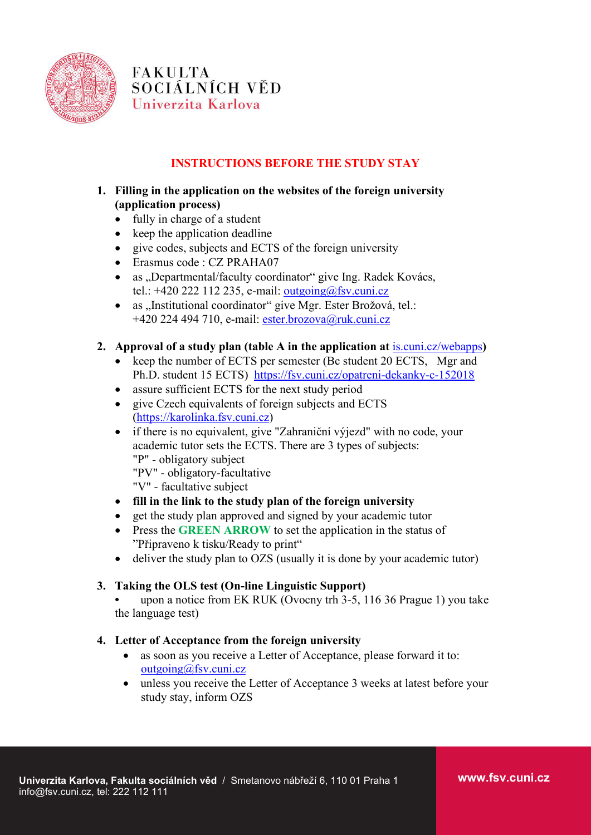

**FAKULTA** SOCIÁLNÍCH VĚD Univerzita Karlova

# **INSTRUCTIONS BEFORE THE STUDY STAY**

## **1. Filling in the application on the websites of the foreign university (application process)**

- fully in charge of a student
- keep the application deadline
- give codes, subjects and ECTS of the foreign university
- Erasmus code : CZ PRAHA07
- as "Departmental/faculty coordinator" give Ing. Radek Kovács, tel.:  $+420$  222 112 235, e-mail: [outgoing@fsv.cuni.cz](mailto:outgoing@fsv.cuni.cz)
- as "Institutional coordinator" give Mgr. Ester Brožová, tel.: +420 224 494 710, e-mail: [ester.brozova@ruk.cuni.cz](mailto:ester.brozova@ruk.cuni.cz)

### **2. Approval of a study plan (table A in the application at** [is.cuni.cz/webapps](https://is.cuni.cz/webapps)**)**

- keep the number of ECTS per semester (Bc student 20 ECTS, Mgr and Ph.D. student 15 ECTS) <https://fsv.cuni.cz/opatreni-dekanky-c-152018>
- assure sufficient ECTS for the next study period
- give Czech equivalents of foreign subjects and ECTS [\(https://karolinka.fsv.cuni.cz\)](https://karolinka.fsv.cuni.cz/)
- if there is no equivalent, give "Zahraniční výjezd" with no code, your academic tutor sets the ECTS. There are 3 types of subjects: "P" - obligatory subject "PV" - obligatory-facultative
	-
	- "V" facultative subject

### • **fill in the link to the study plan of the foreign university**

- get the study plan approved and signed by your academic tutor
- Press the **GREEN ARROW** to set the application in the status of "Připraveno k tisku/Ready to print"
- deliver the study plan to OZS (usually it is done by your academic tutor)

### **3. Taking the OLS test (On-line Linguistic Support)**

**•** upon a notice from EK RUK (Ovocny trh 3-5, 116 36 Prague 1) you take the language test)

### **4. Letter of Acceptance from the foreign university**

- as soon as you receive a Letter of Acceptance, please forward it to: [outgoing@fsv.cuni.cz](mailto:outgoing@fsv.cuni.cz)
- unless you receive the Letter of Acceptance 3 weeks at latest before your study stay, inform OZS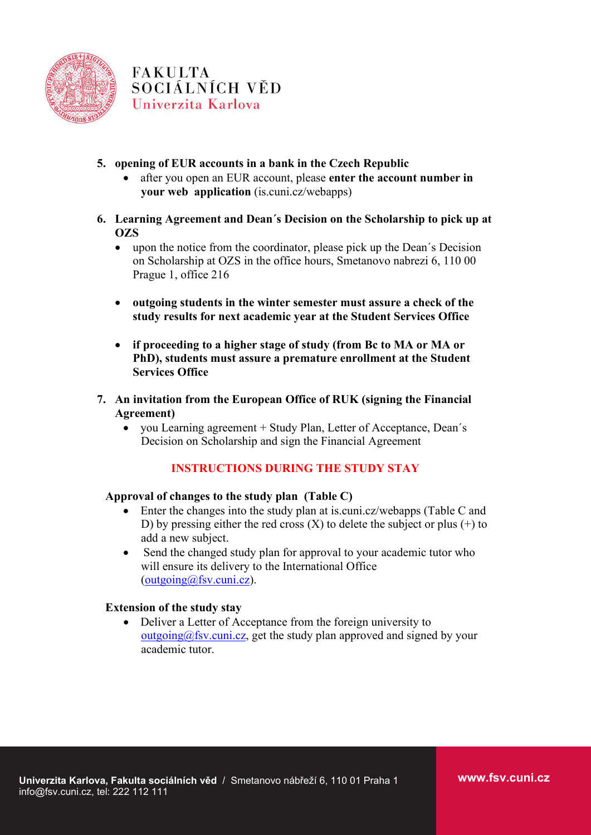

**FAKULTA** SOCIÁLNÍCH VĚD Univerzita Karlova

## **5. opening of EUR accounts in a bank in the Czech Republic**

- after you open an EUR account, please **enter the account number in your web application** (is.cuni.cz/webapps)
- **6. Learning Agreement and Dean´s Decision on the Scholarship to pick up at OZS**
	- upon the notice from the coordinator, please pick up the Dean's Decision on Scholarship at OZS in the office hours, Smetanovo nabrezi 6, 110 00 Prague 1, office 216
	- **outgoing students in the winter semester must assure a check of the study results for next academic year at the Student Services Office**
	- **if proceeding to a higher stage of study (from Bc to MA or MA or PhD), students must assure a premature enrollment at the Student Services Office**
- **7. An invitation from the European Office of RUK (signing the Financial Agreement)**
	- you Learning agreement + Study Plan, Letter of Acceptance, Dean's Decision on Scholarship and sign the Financial Agreement

## **INSTRUCTIONS DURING THE STUDY STAY**

### **Approval of changes to the study plan (Table C)**

- Enter the changes into the study plan at is.cuni.cz/webapps (Table C and D) by pressing either the red cross  $(X)$  to delete the subject or plus  $(+)$  to add a new subject.
- Send the changed study plan for approval to your academic tutor who will ensure its delivery to the International Office  $(outgoing@fsv.cuni.cz).$  $(outgoing@fsv.cuni.cz).$

#### **Extension of the study stay**

• Deliver a Letter of Acceptance from the foreign university to  $outgoing@fsv.cuni.cz$ , get the study plan approved and signed by your academic tutor.

**www.fsv.cuni.cz**